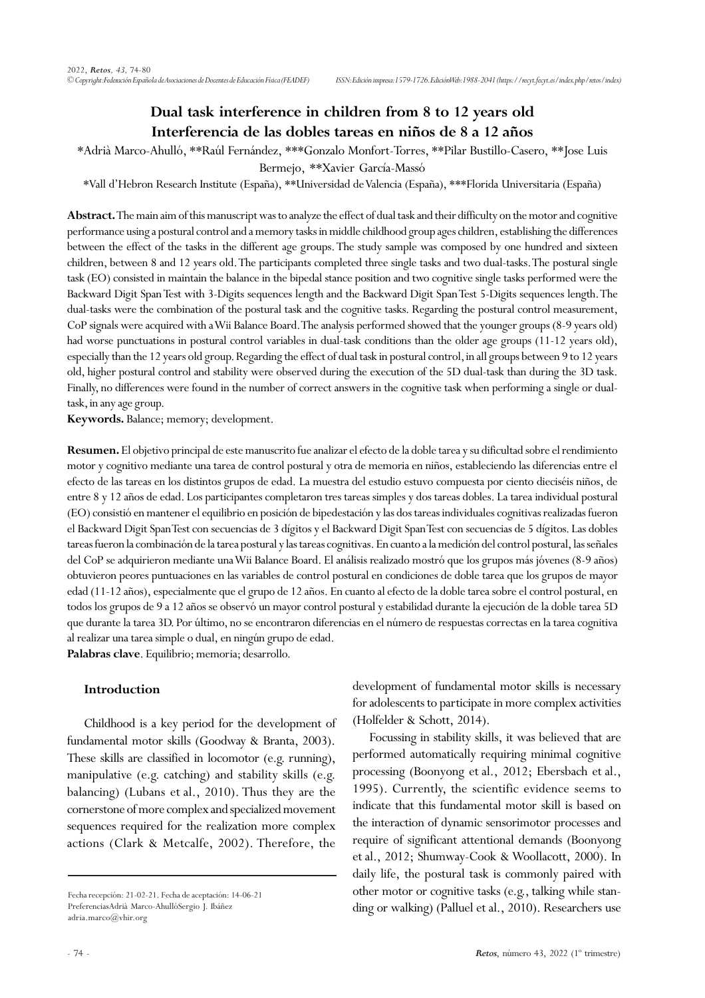# **Dual task interference in children from 8 to 12 years old Interferencia de las dobles tareas en niños de 8 a 12 años**

\*Adrià Marco-Ahulló, \*\*Raúl Fernández, \*\*\*Gonzalo Monfort-Torres, \*\*Pilar Bustillo-Casero, \*\*Jose Luis

Bermejo, \*\*Xavier García-Massó

\*Vall d'Hebron Research Institute (España), \*\*Universidad de Valencia (España), \*\*\*Florida Universitaria (España)

**Abstract.** The main aim of this manuscript was to analyze the effect of dual task and their difficulty on the motor and cognitive performance using a postural control and a memory tasks in middle childhood group ages children, establishing the differences between the effect of the tasks in the different age groups. The study sample was composed by one hundred and sixteen children, between 8 and 12 years old. The participants completed three single tasks and two dual-tasks. The postural single task (EO) consisted in maintain the balance in the bipedal stance position and two cognitive single tasks performed were the Backward Digit Span Test with 3-Digits sequences length and the Backward Digit Span Test 5-Digits sequences length. The dual-tasks were the combination of the postural task and the cognitive tasks. Regarding the postural control measurement, CoP signals were acquired with a Wii Balance Board. The analysis performed showed that the younger groups (8-9 years old) had worse punctuations in postural control variables in dual-task conditions than the older age groups (11-12 years old), especially than the 12 years old group. Regarding the effect of dual task in postural control, in all groups between 9 to 12 years old, higher postural control and stability were observed during the execution of the 5D dual-task than during the 3D task. Finally, no differences were found in the number of correct answers in the cognitive task when performing a single or dualtask, in any age group.

**Keywords.** Balance; memory; development.

**Resumen.** El objetivo principal de este manuscrito fue analizar el efecto de la doble tarea y su dificultad sobre el rendimiento motor y cognitivo mediante una tarea de control postural y otra de memoria en niños, estableciendo las diferencias entre el efecto de las tareas en los distintos grupos de edad. La muestra del estudio estuvo compuesta por ciento dieciséis niños, de entre 8 y 12 años de edad. Los participantes completaron tres tareas simples y dos tareas dobles. La tarea individual postural (EO) consistió en mantener el equilibrio en posición de bipedestación y las dos tareas individuales cognitivas realizadas fueron el Backward Digit Span Test con secuencias de 3 dígitos y el Backward Digit Span Test con secuencias de 5 dígitos. Las dobles tareas fueron la combinación de la tarea postural y las tareas cognitivas. En cuanto a la medición del control postural, las señales del CoP se adquirieron mediante una Wii Balance Board. El análisis realizado mostró que los grupos más jóvenes (8-9 años) obtuvieron peores puntuaciones en las variables de control postural en condiciones de doble tarea que los grupos de mayor edad (11-12 años), especialmente que el grupo de 12 años. En cuanto al efecto de la doble tarea sobre el control postural, en todos los grupos de 9 a 12 años se observó un mayor control postural y estabilidad durante la ejecución de la doble tarea 5D que durante la tarea 3D. Por último, no se encontraron diferencias en el número de respuestas correctas en la tarea cognitiva al realizar una tarea simple o dual, en ningún grupo de edad.

**Palabras clave**. Equilibrio; memoria; desarrollo.

# **Introduction**

Childhood is a key period for the development of fundamental motor skills (Goodway & Branta, 2003). These skills are classified in locomotor (e.g. running), manipulative (e.g. catching) and stability skills (e.g. balancing) (Lubans et al., 2010). Thus they are the cornerstone of more complex and specialized movement sequences required for the realization more complex actions (Clark & Metcalfe, 2002). Therefore, the

development of fundamental motor skills is necessary for adolescents to participate in more complex activities (Holfelder & Schott, 2014).

Focussing in stability skills, it was believed that are performed automatically requiring minimal cognitive processing (Boonyong et al., 2012; Ebersbach et al., 1995). Currently, the scientific evidence seems to indicate that this fundamental motor skill is based on the interaction of dynamic sensorimotor processes and require of significant attentional demands (Boonyong et al., 2012; Shumway-Cook & Woollacott, 2000). In daily life, the postural task is commonly paired with other motor or cognitive tasks (e.g., talking while standing or walking) (Palluel et al., 2010). Researchers use

Fecha recepción: 21-02-21. Fecha de aceptación: 14-06-21 PreferenciasAdrià Marco-AhullóSergio J. Ibáñez adria.marco@vhir.org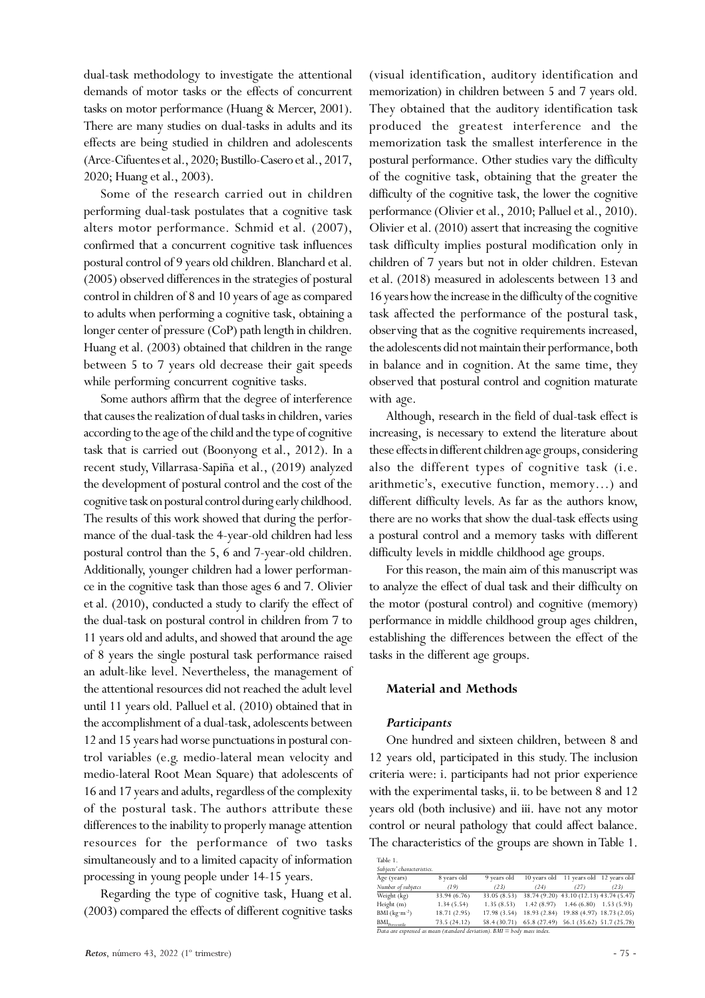dual-task methodology to investigate the attentional demands of motor tasks or the effects of concurrent tasks on motor performance (Huang & Mercer, 2001). There are many studies on dual-tasks in adults and its effects are being studied in children and adolescents (Arce-Cifuentes et al., 2020; Bustillo-Casero et al., 2017, 2020; Huang et al., 2003).

Some of the research carried out in children performing dual-task postulates that a cognitive task alters motor performance. Schmid et al. (2007), confirmed that a concurrent cognitive task influences postural control of 9 years old children. Blanchard et al. (2005) observed differences in the strategies of postural control in children of 8 and 10 years of age as compared to adults when performing a cognitive task, obtaining a longer center of pressure (CoP) path length in children. Huang et al. (2003) obtained that children in the range between 5 to 7 years old decrease their gait speeds while performing concurrent cognitive tasks.

Some authors affirm that the degree of interference that causes the realization of dual tasks in children, varies according to the age of the child and the type of cognitive task that is carried out (Boonyong et al., 2012). In a recent study, Villarrasa-Sapiña et al., (2019) analyzed the development of postural control and the cost of the cognitive task on postural control during early childhood. The results of this work showed that during the performance of the dual-task the 4-year-old children had less postural control than the 5, 6 and 7-year-old children. Additionally, younger children had a lower performance in the cognitive task than those ages 6 and 7. Olivier et al. (2010), conducted a study to clarify the effect of the dual-task on postural control in children from 7 to 11 years old and adults, and showed that around the age of 8 years the single postural task performance raised an adult-like level. Nevertheless, the management of the attentional resources did not reached the adult level until 11 years old. Palluel et al. (2010) obtained that in the accomplishment of a dual-task, adolescents between 12 and 15 years had worse punctuations in postural control variables (e.g. medio-lateral mean velocity and medio-lateral Root Mean Square) that adolescents of 16 and 17 years and adults, regardless of the complexity of the postural task. The authors attribute these differences to the inability to properly manage attention resources for the performance of two tasks simultaneously and to a limited capacity of information processing in young people under 14-15 years.

Regarding the type of cognitive task, Huang et al. (2003) compared the effects of different cognitive tasks (visual identification, auditory identification and memorization) in children between 5 and 7 years old. They obtained that the auditory identification task produced the greatest interference and the memorization task the smallest interference in the postural performance. Other studies vary the difficulty of the cognitive task, obtaining that the greater the difficulty of the cognitive task, the lower the cognitive performance (Olivier et al., 2010; Palluel et al., 2010). Olivier et al. (2010) assert that increasing the cognitive task difficulty implies postural modification only in children of 7 years but not in older children. Estevan et al. (2018) measured in adolescents between 13 and 16 years how the increase in the difficulty of the cognitive task affected the performance of the postural task, observing that as the cognitive requirements increased, the adolescents did not maintain their performance, both in balance and in cognition. At the same time, they observed that postural control and cognition maturate with age.

Although, research in the field of dual-task effect is increasing, is necessary to extend the literature about these effects in different children age groups, considering also the different types of cognitive task (i.e. arithmetic's, executive function, memory…) and different difficulty levels. As far as the authors know, there are no works that show the dual-task effects using a postural control and a memory tasks with different difficulty levels in middle childhood age groups.

For this reason, the main aim of this manuscript was to analyze the effect of dual task and their difficulty on the motor (postural control) and cognitive (memory) performance in middle childhood group ages children, establishing the differences between the effect of the tasks in the different age groups.

# **Material and Methods**

#### *Participants*

One hundred and sixteen children, between 8 and 12 years old, participated in this study. The inclusion criteria were: i. participants had not prior experience with the experimental tasks, ii. to be between 8 and 12 years old (both inclusive) and iii. have not any motor control or neural pathology that could affect balance. The characteristics of the groups are shown in Table 1.

| Table 1.                                                                  |              |             |             |                                         |                           |  |  |  |
|---------------------------------------------------------------------------|--------------|-------------|-------------|-----------------------------------------|---------------------------|--|--|--|
| Subjects' characteristics.                                                |              |             |             |                                         |                           |  |  |  |
| Age (years)                                                               | 8 years old  | 9 years old |             | 10 years old 11 years old 12 years old  |                           |  |  |  |
| Number of subjetcs                                                        | (19)         | (23)        | (24)        | (27)                                    | (23)                      |  |  |  |
| Weight (kg)                                                               | 33.94 (6.76) | 33.05(8.53) |             | 38.74 (9.20) 43.10 (12.13) 43.74 (5.47) |                           |  |  |  |
| Height $(m)$                                                              | 1.34(5.54)   | 1.35(8.53)  | 1.42(8.97)  |                                         | $1.46(6.80)$ $1.53(5.93)$ |  |  |  |
| BMI $(kg·m-2)$                                                            | 18.71 (2.95) | 17.98(3.54) | 18.93(2.84) |                                         | 19.88 (4.97) 18.73 (2.05) |  |  |  |
| BMI <sub>Percentile</sub>                                                 | 73.5(24.12)  | 58.4(30.71) |             | 65.8 (27.49) 56.1 (35.62) 51.7 (25.78)  |                           |  |  |  |
| Data are expressed as mean (standard deviation). $BMI = body$ mass index. |              |             |             |                                         |                           |  |  |  |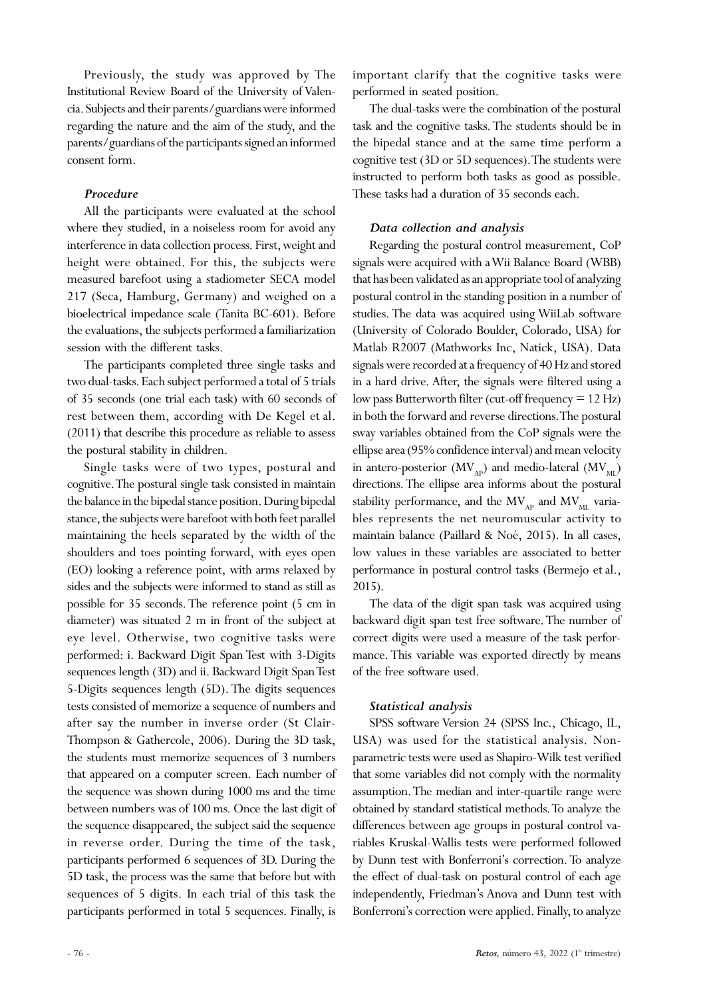Previously, the study was approved by The Institutional Review Board of the University of Valencia. Subjects and their parents/guardians were informed regarding the nature and the aim of the study, and the parents/guardians of the participants signed an informed consent form.

# *Procedure*

All the participants were evaluated at the school where they studied, in a noiseless room for avoid any interference in data collection process. First, weight and height were obtained. For this, the subjects were measured barefoot using a stadiometer SECA model 217 (Seca, Hamburg, Germany) and weighed on a bioelectrical impedance scale (Tanita BC-601). Before the evaluations, the subjects performed a familiarization session with the different tasks.

The participants completed three single tasks and two dual-tasks. Each subject performed a total of 5 trials of 35 seconds (one trial each task) with 60 seconds of rest between them, according with De Kegel et al. (2011) that describe this procedure as reliable to assess the postural stability in children.

Single tasks were of two types, postural and cognitive. The postural single task consisted in maintain the balance in the bipedal stance position. During bipedal stance, the subjects were barefoot with both feet parallel maintaining the heels separated by the width of the shoulders and toes pointing forward, with eyes open (EO) looking a reference point, with arms relaxed by sides and the subjects were informed to stand as still as possible for 35 seconds. The reference point (5 cm in diameter) was situated 2 m in front of the subject at eye level. Otherwise, two cognitive tasks were performed: i. Backward Digit Span Test with 3-Digits sequences length (3D) and ii. Backward Digit Span Test 5-Digits sequences length (5D). The digits sequences tests consisted of memorize a sequence of numbers and after say the number in inverse order (St Clair-Thompson & Gathercole, 2006). During the 3D task, the students must memorize sequences of 3 numbers that appeared on a computer screen. Each number of the sequence was shown during 1000 ms and the time between numbers was of 100 ms. Once the last digit of the sequence disappeared, the subject said the sequence in reverse order. During the time of the task, participants performed 6 sequences of 3D. During the 5D task, the process was the same that before but with sequences of 5 digits. In each trial of this task the participants performed in total 5 sequences. Finally, is

important clarify that the cognitive tasks were performed in seated position.

The dual-tasks were the combination of the postural task and the cognitive tasks. The students should be in the bipedal stance and at the same time perform a cognitive test (3D or 5D sequences). The students were instructed to perform both tasks as good as possible. These tasks had a duration of 35 seconds each.

# *Data collection and analysis*

Regarding the postural control measurement, CoP signals were acquired with a Wii Balance Board (WBB) that has been validated as an appropriate tool of analyzing postural control in the standing position in a number of studies. The data was acquired using WiiLab software (University of Colorado Boulder, Colorado, USA) for Matlab R2007 (Mathworks Inc, Natick, USA). Data signals were recorded at a frequency of 40 Hz and stored in a hard drive. After, the signals were filtered using a low pass Butterworth filter (cut-off frequency  $= 12$  Hz) in both the forward and reverse directions. The postural sway variables obtained from the CoP signals were the ellipse area (95% confidence interval) and mean velocity in antero-posterior ( $MV_{AP}$ ) and medio-lateral ( $MV_{ML}$ ) directions. The ellipse area informs about the postural stability performance, and the  $MV_{AP}$  and  $MV_{MI}$  variables represents the net neuromuscular activity to maintain balance (Paillard & Noé, 2015). In all cases, low values in these variables are associated to better performance in postural control tasks (Bermejo et al., 2015).

The data of the digit span task was acquired using backward digit span test free software. The number of correct digits were used a measure of the task performance. This variable was exported directly by means of the free software used.

# *Statistical analysis*

SPSS software Version 24 (SPSS Inc., Chicago, IL, USA) was used for the statistical analysis. Nonparametric tests were used as Shapiro-Wilk test verified that some variables did not comply with the normality assumption. The median and inter-quartile range were obtained by standard statistical methods. To analyze the differences between age groups in postural control variables Kruskal-Wallis tests were performed followed by Dunn test with Bonferroni's correction. To analyze the effect of dual-task on postural control of each age independently, Friedman's Anova and Dunn test with Bonferroni's correction were applied. Finally, to analyze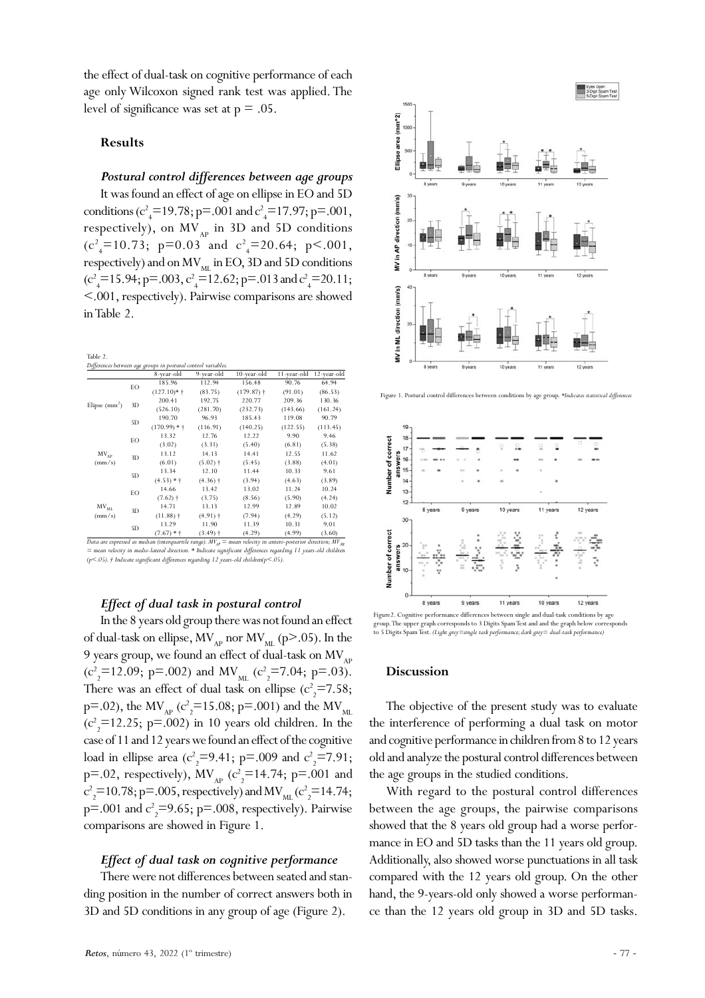the effect of dual-task on cognitive performance of each age only Wilcoxon signed rank test was applied. The level of significance was set at  $p = .05$ .

#### **Results**

#### *Postural control differences between age groups*

It was found an effect of age on ellipse in EO and 5D conditions ( $c^2$ <sub>4</sub>=19.78; p=.001 and  $c^2$ <sub>4</sub>=17.97; p=.001, respectively), on  $MV_{AP}$  in 3D and 5D conditions  $(c<sup>2</sup><sub>4</sub>=10.73; p=0.03 and c<sup>2</sup><sub>4</sub>=20.64; p<.001,$ respectively) and on  $MV_{ML}$  in EO, 3D and 5D conditions  $(c^2_{\frac{1}{4}}=15.94; p=.003, c^2_{\frac{1}{4}}=12.62; p=.013$  and  $c^2_{\frac{1}{4}}=20.11;$ <.001, respectively). Pairwise comparisons are showed in Table 2.

|                     |    | Differences between age groups in postural control variables. |                       |                         |             |             |
|---------------------|----|---------------------------------------------------------------|-----------------------|-------------------------|-------------|-------------|
|                     |    | 8-year-old                                                    | 9-year-old            | 10-year-old             | 11-year-old | 12-year-old |
| Elipse $(mm2)$      | EO | 185.96                                                        | 112.94                | 156.48                  | 90.76       | 64.94       |
|                     |    | $(127.10)*{\dagger}$                                          | (83.75)               | $(179.87)$ <sup>+</sup> | (91.01)     | (86.53)     |
|                     | 3D | 200.41                                                        | 192.75                | 220.77                  | 209.36      | 130.36      |
|                     |    | (526.10)                                                      | (281.70)              | (232.73)                | (143.66)    | (161.24)    |
|                     | 5D | 190.70                                                        | 96.93                 | 185.43                  | 119.08      | 90.79       |
|                     |    | $(170.99) *$                                                  | (116.91)              | (140.25)                | (122.55)    | (113.45)    |
| $MV_{AP}$<br>(mm/s) | EO | 13.32                                                         | 12.76                 | 12.22                   | 9.90        | 9.46        |
|                     |    | (3.02)                                                        | (3.31)                | (5.40)                  | (6.81)      | (5.38)      |
|                     | 3D | 13.12                                                         | 14.13                 | 14.41                   | 12.55       | 11.62       |
|                     |    | (6.01)                                                        | $(5.02)$ †            | (5.45)                  | (3.88)      | (4.01)      |
|                     | 5D | 13.34                                                         | 12.10                 | 11.44                   | 10.33       | 9.61        |
|                     |    | $(4.53) * \dagger$                                            | $(4.36)$ †            | (3.94)                  | (4.63)      | (3.89)      |
| $MV_{ML}$<br>(mm/s) | EO | 14.66                                                         | 13.42                 | 13.02                   | 11.24       | 10.24       |
|                     |    | $(7.62)$ †                                                    | (3.75)                | (8.56)                  | (5.90)      | (4.24)      |
|                     | 3D | 14.71                                                         | 13.13                 | 12.99                   | 12.89       | 10.02       |
|                     |    | $(11.88)$ †                                                   | $(4.91)$ <sup>+</sup> | (7.94)                  | (4.29)      | (5.12)      |
|                     | 5D | 13.29                                                         | 11.90                 | 11.39                   | 10.31       | 9.01        |
|                     |    | $(7.67) * \dagger$                                            | $(3.49)$ †            | (4.29)                  | (4.99)      | (3.60)      |

*Data are expressed as median (interquartile range).*  $MV_{AP}$  = mean velocity in antero-posterior direction;  $MV_{ML}$ *= mean velocity in medio-lateral direction. \* Indicate significant differences regarding 11 years-old children (p<.05). † Indicate significant differences regarding 12 years-old children(p<.05).*

#### *Effect of dual task in postural control*

In the 8 years old group there was not found an effect of dual-task on ellipse,  $MV_{AP}$  nor  $MV_{ML}$  (p>.05). In the 9 years group, we found an effect of dual-task on  $MV_{AP}$  $(c^2_{2} = 12.09; \text{ p} = .002)$  and MV<sub>ML</sub>  $(c^2_{2} = 7.04; \text{ p} = .03)$ . There was an effect of dual task on ellipse  $(c_2^2=7.58;$ p=.02), the MV<sub>AP</sub> (c<sup>2</sup><sub>2</sub>=15.08; p=.001) and the MV<sub>ML</sub>  $(c^2_{2} = 12.25; p = .002)$  in 10 years old children. In the case of 11 and 12 years we found an effect of the cognitive load in ellipse area ( $c_2^2$ =9.41; p=.009 and  $c_2^2$ =7.91; p=.02, respectively),  $MV_{AP}$  ( $c_2^2$ =14.74; p=.001 and  $c^2$ <sub>2</sub>=10.78; p=.005, respectively) and MV<sub>ML</sub> ( $c^2$ <sub>2</sub>=14.74;  $p = .001$  and  $c^2 = 9.65$ ;  $p = .008$ , respectively). Pairwise comparisons are showed in Figure 1.

### *Effect of dual task on cognitive performance*

There were not differences between seated and standing position in the number of correct answers both in 3D and 5D conditions in any group of age (Figure 2).



Figure 1. Postural control differences between conditions by age group. *\*Indicates statistical differences*



Figure2. Cognitive performance differences between single and dual-task conditions by age group. The upper graph corresponds to 3 Digits Spam Test and and the graph below corresponds to 5 Digits Spam Test. *(Light grey=single task performance; dark grey= dual-task performance)*

#### **Discussion**

The objective of the present study was to evaluate the interference of performing a dual task on motor and cognitive performance in children from 8 to 12 years old and analyze the postural control differences between the age groups in the studied conditions.

With regard to the postural control differences between the age groups, the pairwise comparisons showed that the 8 years old group had a worse performance in EO and 5D tasks than the 11 years old group. Additionally, also showed worse punctuations in all task compared with the 12 years old group. On the other hand, the 9-years-old only showed a worse performance than the 12 years old group in 3D and 5D tasks.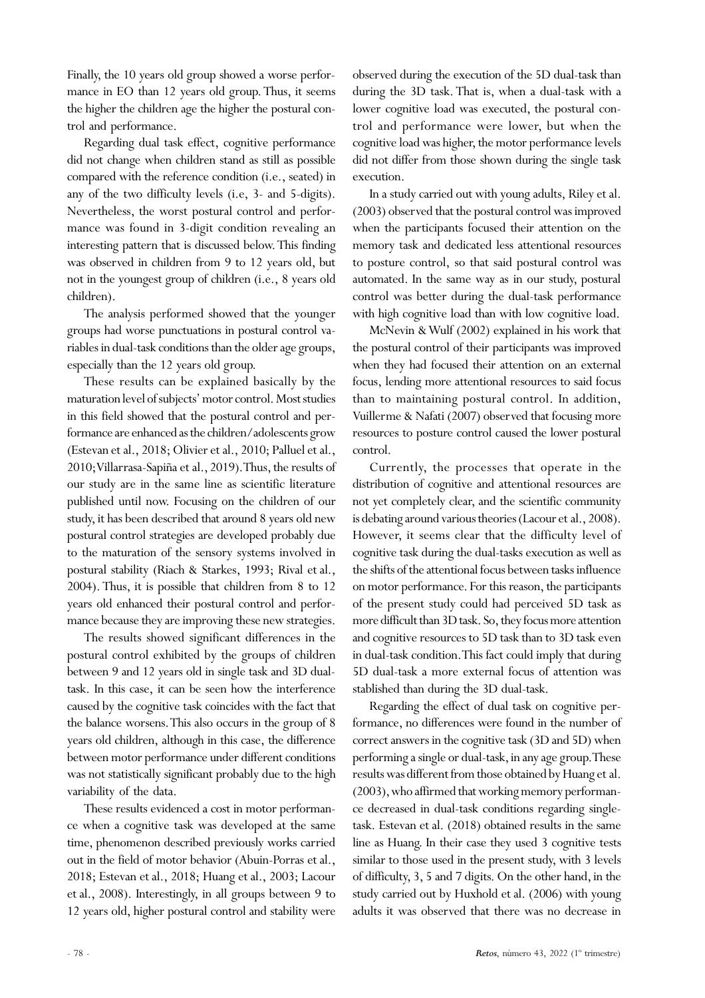Finally, the 10 years old group showed a worse performance in EO than 12 years old group. Thus, it seems the higher the children age the higher the postural control and performance.

Regarding dual task effect, cognitive performance did not change when children stand as still as possible compared with the reference condition (i.e., seated) in any of the two difficulty levels (i.e, 3- and 5-digits). Nevertheless, the worst postural control and performance was found in 3-digit condition revealing an interesting pattern that is discussed below. This finding was observed in children from 9 to 12 years old, but not in the youngest group of children (i.e., 8 years old children).

The analysis performed showed that the younger groups had worse punctuations in postural control variables in dual-task conditions than the older age groups, especially than the 12 years old group.

These results can be explained basically by the maturation level of subjects' motor control. Most studies in this field showed that the postural control and performance are enhanced as the children/adolescents grow (Estevan et al., 2018; Olivier et al., 2010; Palluel et al., 2010; Villarrasa-Sapiña et al., 2019). Thus, the results of our study are in the same line as scientific literature published until now. Focusing on the children of our study, it has been described that around 8 years old new postural control strategies are developed probably due to the maturation of the sensory systems involved in postural stability (Riach & Starkes, 1993; Rival et al., 2004). Thus, it is possible that children from 8 to 12 years old enhanced their postural control and performance because they are improving these new strategies.

The results showed significant differences in the postural control exhibited by the groups of children between 9 and 12 years old in single task and 3D dualtask. In this case, it can be seen how the interference caused by the cognitive task coincides with the fact that the balance worsens. This also occurs in the group of 8 years old children, although in this case, the difference between motor performance under different conditions was not statistically significant probably due to the high variability of the data.

These results evidenced a cost in motor performance when a cognitive task was developed at the same time, phenomenon described previously works carried out in the field of motor behavior (Abuin-Porras et al., 2018; Estevan et al., 2018; Huang et al., 2003; Lacour et al., 2008). Interestingly, in all groups between 9 to 12 years old, higher postural control and stability were observed during the execution of the 5D dual-task than during the 3D task. That is, when a dual-task with a lower cognitive load was executed, the postural control and performance were lower, but when the cognitive load was higher, the motor performance levels did not differ from those shown during the single task execution.

In a study carried out with young adults, Riley et al. (2003) observed that the postural control was improved when the participants focused their attention on the memory task and dedicated less attentional resources to posture control, so that said postural control was automated. In the same way as in our study, postural control was better during the dual-task performance with high cognitive load than with low cognitive load.

McNevin & Wulf (2002) explained in his work that the postural control of their participants was improved when they had focused their attention on an external focus, lending more attentional resources to said focus than to maintaining postural control. In addition, Vuillerme & Nafati (2007) observed that focusing more resources to posture control caused the lower postural control.

Currently, the processes that operate in the distribution of cognitive and attentional resources are not yet completely clear, and the scientific community is debating around various theories (Lacour et al., 2008). However, it seems clear that the difficulty level of cognitive task during the dual-tasks execution as well as the shifts of the attentional focus between tasks influence on motor performance. For this reason, the participants of the present study could had perceived 5D task as more difficult than 3D task. So, they focus more attention and cognitive resources to 5D task than to 3D task even in dual-task condition. This fact could imply that during 5D dual-task a more external focus of attention was stablished than during the 3D dual-task.

Regarding the effect of dual task on cognitive performance, no differences were found in the number of correct answers in the cognitive task (3D and 5D) when performing a single or dual-task, in any age group. These results was different from those obtained by Huang et al. (2003), who affirmed that working memory performance decreased in dual-task conditions regarding singletask. Estevan et al. (2018) obtained results in the same line as Huang. In their case they used 3 cognitive tests similar to those used in the present study, with 3 levels of difficulty, 3, 5 and 7 digits. On the other hand, in the study carried out by Huxhold et al. (2006) with young adults it was observed that there was no decrease in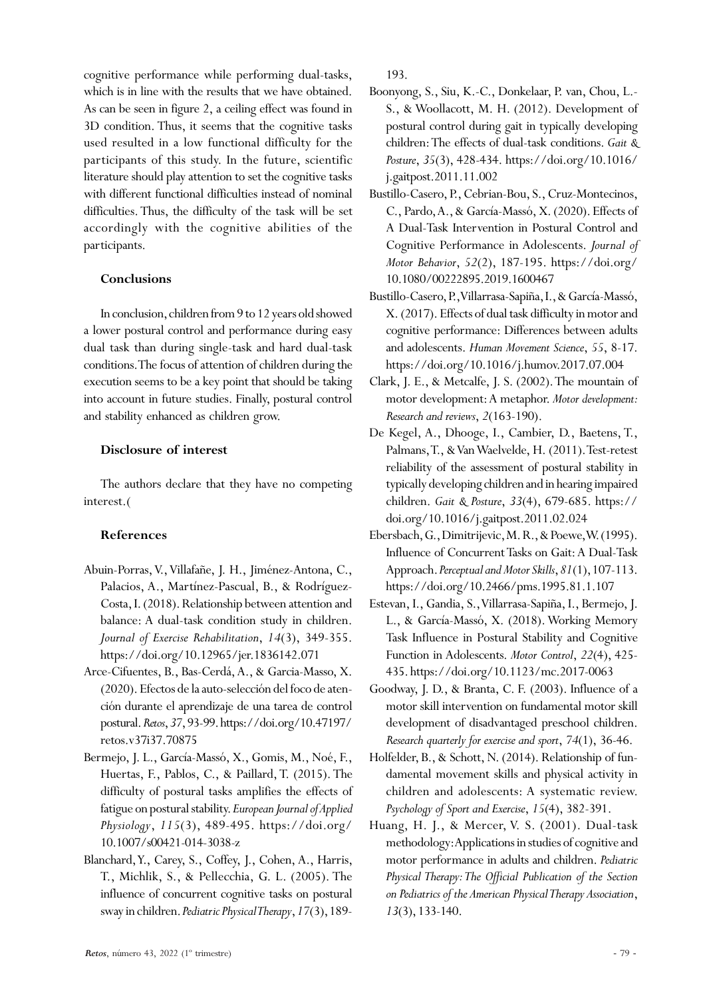cognitive performance while performing dual-tasks, which is in line with the results that we have obtained. As can be seen in figure 2, a ceiling effect was found in 3D condition. Thus, it seems that the cognitive tasks used resulted in a low functional difficulty for the participants of this study. In the future, scientific literature should play attention to set the cognitive tasks with different functional difficulties instead of nominal difficulties. Thus, the difficulty of the task will be set accordingly with the cognitive abilities of the participants.

# **Conclusions**

In conclusion, children from 9 to 12 years old showed a lower postural control and performance during easy dual task than during single-task and hard dual-task conditions. The focus of attention of children during the execution seems to be a key point that should be taking into account in future studies. Finally, postural control and stability enhanced as children grow.

# **Disclosure of interest**

The authors declare that they have no competing interest.(

# **References**

- Abuin-Porras, V., Villafañe, J. H., Jiménez-Antona, C., Palacios, A., Martínez-Pascual, B., & Rodríguez-Costa, I. (2018). Relationship between attention and balance: A dual-task condition study in children. *Journal of Exercise Rehabilitation*, *14*(3), 349-355. https://doi.org/10.12965/jer.1836142.071
- Arce-Cifuentes, B., Bas-Cerdá, A., & Garcia-Masso, X. (2020). Efectos de la auto-selección del foco de atención durante el aprendizaje de una tarea de control postural. *Retos*, *37*, 93-99. https://doi.org/10.47197/ retos.v37i37.70875
- Bermejo, J. L., García-Massó, X., Gomis, M., Noé, F., Huertas, F., Pablos, C., & Paillard, T. (2015). The difficulty of postural tasks amplifies the effects of fatigue on postural stability. *European Journal of Applied Physiology*, *115*(3), 489-495. https://doi.org/ 10.1007/s00421-014-3038-z
- Blanchard, Y., Carey, S., Coffey, J., Cohen, A., Harris, T., Michlik, S., & Pellecchia, G. L. (2005). The influence of concurrent cognitive tasks on postural sway in children. *Pediatric Physical Therapy*, *17*(3), 189-

193.

- Boonyong, S., Siu, K.-C., Donkelaar, P. van, Chou, L.- S., & Woollacott, M. H. (2012). Development of postural control during gait in typically developing children: The effects of dual-task conditions. *Gait & Posture*, *35*(3), 428-434. https://doi.org/10.1016/ j.gaitpost.2011.11.002
- Bustillo-Casero, P., Cebrian-Bou, S., Cruz-Montecinos, C., Pardo, A., & García-Massó, X. (2020). Effects of A Dual-Task Intervention in Postural Control and Cognitive Performance in Adolescents. *Journal of Motor Behavior*, *52*(2), 187-195. https://doi.org/ 10.1080/00222895.2019.1600467
- Bustillo-Casero, P., Villarrasa-Sapiña, I., & García-Massó, X. (2017). Effects of dual task difficulty in motor and cognitive performance: Differences between adults and adolescents. *Human Movement Science*, *55*, 8-17. https://doi.org/10.1016/j.humov.2017.07.004
- Clark, J. E., & Metcalfe, J. S. (2002). The mountain of motor development: A metaphor. *Motor development: Research and reviews*, *2*(163-190).
- De Kegel, A., Dhooge, I., Cambier, D., Baetens, T., Palmans, T., & Van Waelvelde, H. (2011). Test-retest reliability of the assessment of postural stability in typically developing children and in hearing impaired children. *Gait & Posture*, *33*(4), 679-685. https:// doi.org/10.1016/j.gaitpost.2011.02.024
- Ebersbach, G., Dimitrijevic, M. R., & Poewe, W. (1995). Influence of Concurrent Tasks on Gait: A Dual-Task Approach. *Perceptual and Motor Skills*, *81*(1), 107-113. https://doi.org/10.2466/pms.1995.81.1.107
- Estevan, I., Gandia, S., Villarrasa-Sapiña, I., Bermejo, J. L., & García-Massó, X. (2018). Working Memory Task Influence in Postural Stability and Cognitive Function in Adolescents. *Motor Control*, *22*(4), 425- 435. https://doi.org/10.1123/mc.2017-0063
- Goodway, J. D., & Branta, C. F. (2003). Influence of a motor skill intervention on fundamental motor skill development of disadvantaged preschool children. *Research quarterly for exercise and sport*, *74*(1), 36-46.
- Holfelder, B., & Schott, N. (2014). Relationship of fundamental movement skills and physical activity in children and adolescents: A systematic review. *Psychology of Sport and Exercise*, *15*(4), 382-391.
- Huang, H. J., & Mercer, V. S. (2001). Dual-task methodology: Applications in studies of cognitive and motor performance in adults and children. *Pediatric Physical Therapy: The Official Publication of the Section on Pediatrics of the American Physical Therapy Association*, *13*(3), 133-140.